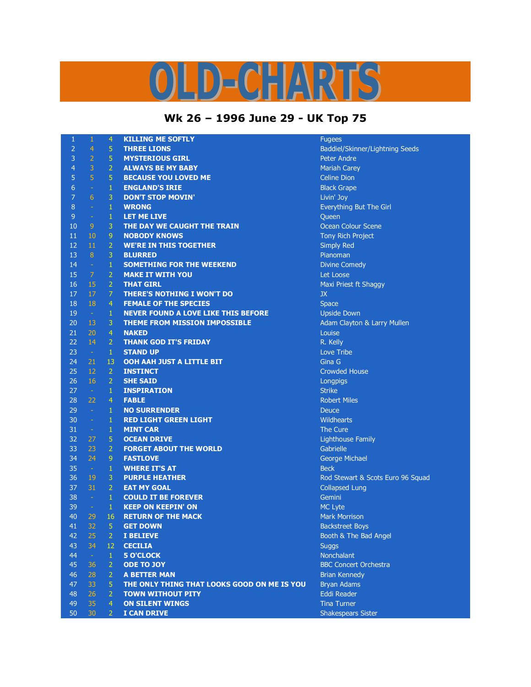## OLD-CHARTS

## **Wk 26 – 1996 June 29 - UK Top 75**

| 1  | 1              | 4              | <b>KILLING ME SOFTLY</b>                    | <b>Fugees</b>                     |
|----|----------------|----------------|---------------------------------------------|-----------------------------------|
| 2  | $\overline{4}$ | 5 <sup>1</sup> | <b>THREE LIONS</b>                          | Baddiel/Skinner/Lightning Seeds   |
| 3  | $\overline{2}$ | 5 <sup>1</sup> | <b>MYSTERIOUS GIRL</b>                      | <b>Peter Andre</b>                |
| 4  | 3              | 2 <sup>1</sup> | <b>ALWAYS BE MY BABY</b>                    | <b>Mariah Carey</b>               |
| 5  | $\overline{5}$ | 5 <sup>1</sup> | <b>BECAUSE YOU LOVED ME</b>                 | <b>Celine Dion</b>                |
| 6  | $\rightarrow$  | $1 -$          | <b>ENGLAND'S IRIE</b>                       | <b>Black Grape</b>                |
| 7  | 6              | 3              | <b>DON'T STOP MOVIN'</b>                    | Livin' Joy                        |
| 8  | $\equiv$       | $1 -$          | <b>WRONG</b>                                | Everything But The Girl           |
| 9  | $\omega$       | $\mathbf{1}$   | LET ME LIVE                                 | Queen                             |
| 10 | 9              | 3.             | THE DAY WE CAUGHT THE TRAIN                 | <b>Ocean Colour Scene</b>         |
| 11 | 10             | 9.             | <b>NOBODY KNOWS</b>                         | <b>Tony Rich Project</b>          |
| 12 | 11             | 2 <sup>1</sup> | <b>WE'RE IN THIS TOGETHER</b>               | <b>Simply Red</b>                 |
| 13 | 8 <sup>°</sup> | 3 <sup>1</sup> | <b>BLURRED</b>                              | Pianoman                          |
| 14 | $\sim$         | $1 -$          | <b>SOMETHING FOR THE WEEKEND</b>            | Divine Comedy                     |
| 15 | $\mathcal{I}$  | $\overline{2}$ | <b>MAKE IT WITH YOU</b>                     | Let Loose                         |
| 16 | 15             | 2 <sup>1</sup> | <b>THAT GIRL</b>                            | Maxi Priest ft Shaggy             |
| 17 | 17             | 7.             | <b>THERE'S NOTHING I WON'T DO</b>           | JX                                |
| 18 | 18             | $\overline{4}$ | <b>FEMALE OF THE SPECIES</b>                | <b>Space</b>                      |
| 19 | $\sim$         | $\mathbf{1}$   | <b>NEVER FOUND A LOVE LIKE THIS BEFORE</b>  | <b>Upside Down</b>                |
| 20 | 13             | $\mathbf{3}$   | THEME FROM MISSION IMPOSSIBLE               | Adam Clayton & Larry Mullen       |
| 21 | 20             | 4 <sup>1</sup> | <b>NAKED</b>                                | Louise                            |
| 22 | 14             | 2 <sup>1</sup> | <b>THANK GOD IT'S FRIDAY</b>                | R. Kelly                          |
| 23 | $\sim$         | $\mathbf{1}$   | <b>STAND UP</b>                             | Love Tribe                        |
| 24 | 21             | $13-$          | <b>OOH AAH JUST A LITTLE BIT</b>            | Gina G                            |
| 25 | 12             | $\mathbf{2}$   | <b>INSTINCT</b>                             | <b>Crowded House</b>              |
| 26 | 16             | $\mathbf{2}$   | <b>SHE SAID</b>                             | Longpigs                          |
| 27 | $\sim$         | $1 -$          | <b>INSPIRATION</b>                          | <b>Strike</b>                     |
| 28 | 22             | $4 -$          | <b>FABLE</b>                                | <b>Robert Miles</b>               |
| 29 | $\sim$         | $1 -$          | <b>NO SURRENDER</b>                         | <b>Deuce</b>                      |
| 30 | $\sim$         | $\mathbf{1}$   | <b>RED LIGHT GREEN LIGHT</b>                | <b>Wildhearts</b>                 |
| 31 | $\sim$         | $\mathbf{1}$   | <b>MINT CAR</b>                             | The Cure                          |
| 32 | 27             | 5 <sub>1</sub> | <b>OCEAN DRIVE</b>                          | <b>Lighthouse Family</b>          |
| 33 | 23             | 2 <sup>1</sup> | <b>FORGET ABOUT THE WORLD</b>               | Gabrielle                         |
| 34 | 24             | 9 <sup>°</sup> | <b>FASTLOVE</b>                             | George Michael                    |
| 35 | $\sim$         | $\mathbf{1}$   | <b>WHERE IT'S AT</b>                        | <b>Beck</b>                       |
| 36 | 19             | 3 <sup>°</sup> | <b>PURPLE HEATHER</b>                       | Rod Stewart & Scots Euro 96 Squad |
| 37 | 31             | 2 <sup>1</sup> | <b>EAT MY GOAL</b>                          | <b>Collapsed Lung</b>             |
| 38 | $\sim$ 1       | $1 -$          | <b>COULD IT BE FOREVER</b>                  | Gemini                            |
| 39 | $\sim$ .       | $1 -$          | <b>KEEP ON KEEPIN' ON</b>                   | <b>MC</b> Lyte                    |
| 40 | 29             | $16-$          | <b>RETURN OF THE MACK</b>                   | <b>Mark Morrison</b>              |
| 41 | 32             | $\sqrt{5}$     | <b>GET DOWN</b>                             | <b>Backstreet Boys</b>            |
| 42 | 25             | $\overline{2}$ | <b>I BELIEVE</b>                            | Booth & The Bad Angel             |
| 43 | 34             | 12             | <b>CECILIA</b>                              | <b>Suggs</b>                      |
| 44 | $\sim$         | $\mathbf{1}$   | <b>5 O'CLOCK</b>                            | Nonchalant                        |
| 45 | 36             | $\overline{2}$ | <b>ODE TO JOY</b>                           | <b>BBC</b> Concert Orchestra      |
| 46 | 28             | $\overline{2}$ | <b>A BETTER MAN</b>                         | <b>Brian Kennedy</b>              |
| 47 | 33             | 5              | THE ONLY THING THAT LOOKS GOOD ON ME IS YOU | <b>Bryan Adams</b>                |
| 48 | 26             | 2 <sup>1</sup> | <b>TOWN WITHOUT PITY</b>                    | Eddi Reader                       |
| 49 | 35             | $\overline{4}$ | <b>ON SILENT WINGS</b>                      | <b>Tina Turner</b>                |
| 50 | 30             | 2 <sup>1</sup> | I CAN DRIVE                                 | <b>Shakespears Sister</b>         |